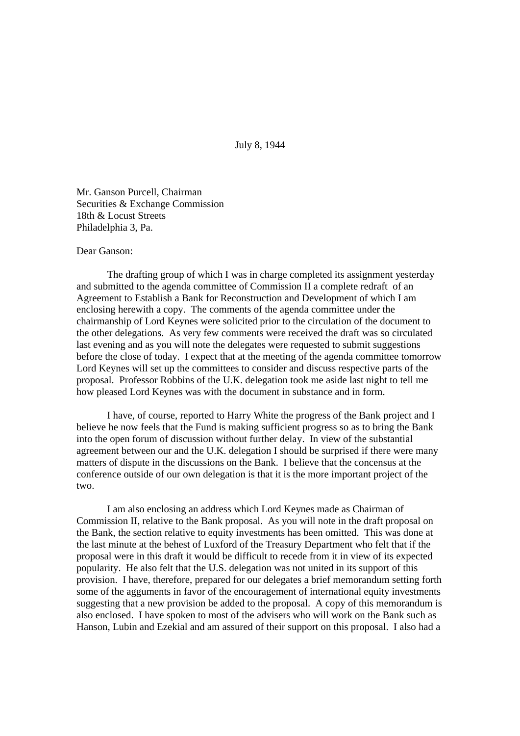July 8, 1944

Mr. Ganson Purcell, Chairman Securities & Exchange Commission 18th & Locust Streets Philadelphia 3, Pa.

## Dear Ganson:

The drafting group of which I was in charge completed its assignment yesterday and submitted to the agenda committee of Commission II a complete redraft of an Agreement to Establish a Bank for Reconstruction and Development of which I am enclosing herewith a copy. The comments of the agenda committee under the chairmanship of Lord Keynes were solicited prior to the circulation of the document to the other delegations. As very few comments were received the draft was so circulated last evening and as you will note the delegates were requested to submit suggestions before the close of today. I expect that at the meeting of the agenda committee tomorrow Lord Keynes will set up the committees to consider and discuss respective parts of the proposal. Professor Robbins of the U.K. delegation took me aside last night to tell me how pleased Lord Keynes was with the document in substance and in form.

I have, of course, reported to Harry White the progress of the Bank project and I believe he now feels that the Fund is making sufficient progress so as to bring the Bank into the open forum of discussion without further delay. In view of the substantial agreement between our and the U.K. delegation I should be surprised if there were many matters of dispute in the discussions on the Bank. I believe that the concensus at the conference outside of our own delegation is that it is the more important project of the two.

I am also enclosing an address which Lord Keynes made as Chairman of Commission II, relative to the Bank proposal. As you will note in the draft proposal on the Bank, the section relative to equity investments has been omitted. This was done at the last minute at the behest of Luxford of the Treasury Department who felt that if the proposal were in this draft it would be difficult to recede from it in view of its expected popularity. He also felt that the U.S. delegation was not united in its support of this provision. I have, therefore, prepared for our delegates a brief memorandum setting forth some of the agguments in favor of the encouragement of international equity investments suggesting that a new provision be added to the proposal. A copy of this memorandum is also enclosed. I have spoken to most of the advisers who will work on the Bank such as Hanson, Lubin and Ezekial and am assured of their support on this proposal. I also had a